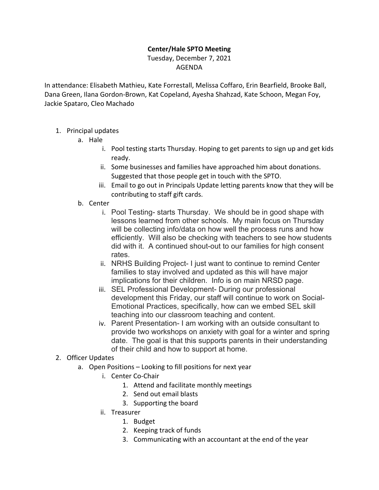## **Center/Hale SPTO Meeting**

Tuesday, December 7, 2021 AGENDA

In attendance: Elisabeth Mathieu, Kate Forrestall, Melissa Coffaro, Erin Bearfield, Brooke Ball, Dana Green, Ilana Gordon-Brown, Kat Copeland, Ayesha Shahzad, Kate Schoon, Megan Foy, Jackie Spataro, Cleo Machado

- 1. Principal updates
	- a. Hale
		- i. Pool testing starts Thursday. Hoping to get parents to sign up and get kids ready.
		- ii. Some businesses and families have approached him about donations. Suggested that those people get in touch with the SPTO.
		- iii. Email to go out in Principals Update letting parents know that they will be contributing to staff gift cards.
	- b. Center
		- i. Pool Testing- starts Thursday. We should be in good shape with lessons learned from other schools. My main focus on Thursday will be collecting info/data on how well the process runs and how efficiently. Will also be checking with teachers to see how students did with it. A continued shout-out to our families for high consent rates.
		- ii. NRHS Building Project- I just want to continue to remind Center families to stay involved and updated as this will have major implications for their children. Info is on main NRSD page.
		- iii. SEL Professional Development- During our professional development this Friday, our staff will continue to work on Social-Emotional Practices, specifically, how can we embed SEL skill teaching into our classroom teaching and content.
		- iv. Parent Presentation- I am working with an outside consultant to provide two workshops on anxiety with goal for a winter and spring date. The goal is that this supports parents in their understanding of their child and how to support at home.
- 2. Officer Updates
	- a. Open Positions Looking to fill positions for next year
		- i. Center Co-Chair
			- 1. Attend and facilitate monthly meetings
			- 2. Send out email blasts
			- 3. Supporting the board
		- ii. Treasurer
			- 1. Budget
			- 2. Keeping track of funds
			- 3. Communicating with an accountant at the end of the year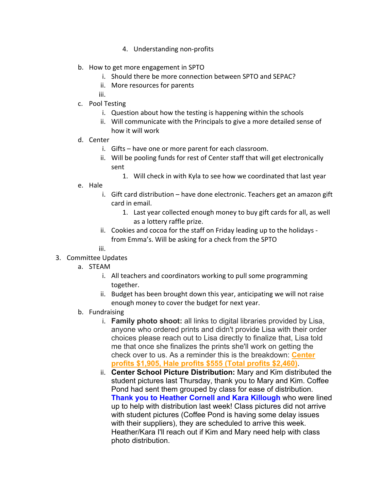- 4. Understanding non-profits
- b. How to get more engagement in SPTO
	- i. Should there be more connection between SPTO and SEPAC?
	- ii. More resources for parents
	- iii.
- c. Pool Testing
	- i. Question about how the testing is happening within the schools
	- ii. Will communicate with the Principals to give a more detailed sense of how it will work
- d. Center
	- i. Gifts have one or more parent for each classroom.
	- ii. Will be pooling funds for rest of Center staff that will get electronically sent
		- 1. Will check in with Kyla to see how we coordinated that last year
- e. Hale
	- i. Gift card distribution have done electronic. Teachers get an amazon gift card in email.
		- 1. Last year collected enough money to buy gift cards for all, as well as a lottery raffle prize.
	- ii. Cookies and cocoa for the staff on Friday leading up to the holidays from Emma's. Will be asking for a check from the SPTO
	- iii.
- 3. Committee Updates
	- a. STEAM
		- i. All teachers and coordinators working to pull some programming together.
		- ii. Budget has been brought down this year, anticipating we will not raise enough money to cover the budget for next year.
	- b. Fundraising
		- i. **Family photo shoot:** all links to digital libraries provided by Lisa, anyone who ordered prints and didn't provide Lisa with their order choices please reach out to Lisa directly to finalize that, Lisa told me that once she finalizes the prints she'll work on getting the check over to us. As a reminder this is the breakdown: **Center profits \$1,905, Hale profits \$555 (Total profits \$2,460)**.
		- ii. **Center School Picture Distribution:** Mary and Kim distributed the student pictures last Thursday, thank you to Mary and Kim. Coffee Pond had sent them grouped by class for ease of distribution. **Thank you to Heather Cornell and Kara Killough** who were lined up to help with distribution last week! Class pictures did not arrive with student pictures (Coffee Pond is having some delay issues with their suppliers), they are scheduled to arrive this week. Heather/Kara I'll reach out if Kim and Mary need help with class photo distribution.